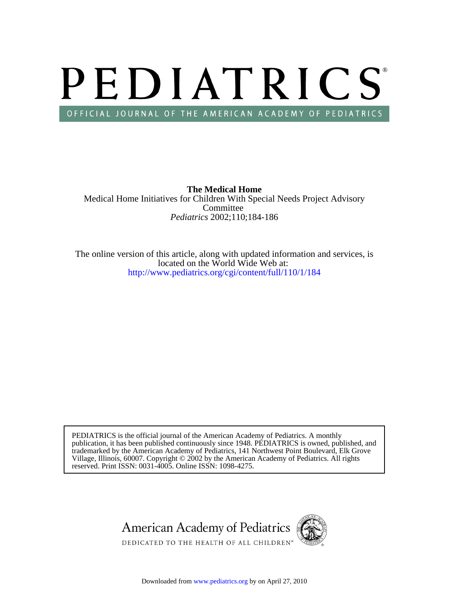# PEDIATRICS OFFICIAL JOURNAL OF THE AMERICAN ACADEMY OF PEDIATRICS

*Pediatrics* 2002;110;184-186 **Committee** Medical Home Initiatives for Children With Special Needs Project Advisory **The Medical Home**

<http://www.pediatrics.org/cgi/content/full/110/1/184> located on the World Wide Web at: The online version of this article, along with updated information and services, is

reserved. Print ISSN: 0031-4005. Online ISSN: 1098-4275. Village, Illinois, 60007. Copyright © 2002 by the American Academy of Pediatrics. All rights trademarked by the American Academy of Pediatrics, 141 Northwest Point Boulevard, Elk Grove publication, it has been published continuously since 1948. PEDIATRICS is owned, published, and PEDIATRICS is the official journal of the American Academy of Pediatrics. A monthly



Downloaded from [www.pediatrics.org](http://www.pediatrics.org) by on April 27, 2010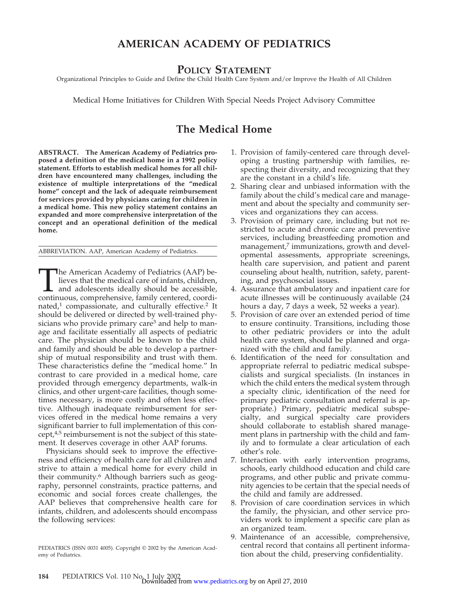# **AMERICAN ACADEMY OF PEDIATRICS**

## **POLICY STATEMENT**

Organizational Principles to Guide and Define the Child Health Care System and/or Improve the Health of All Children

Medical Home Initiatives for Children With Special Needs Project Advisory Committee

# **The Medical Home**

**ABSTRACT. The American Academy of Pediatrics proposed a definition of the medical home in a 1992 policy statement. Efforts to establish medical homes for all children have encountered many challenges, including the existence of multiple interpretations of the "medical home" concept and the lack of adequate reimbursement for services provided by physicians caring for children in a medical home. This new policy statement contains an expanded and more comprehensive interpretation of the concept and an operational definition of the medical home.**

ABBREVIATION. AAP, American Academy of Pediatrics.

The American Academy of Pediatrics (AAP) be-<br>lieves that the medical care of infants, children,<br>and adolescents ideally should be accessible,<br>continuous. comprehensive. family centered. coordilieves that the medical care of infants, children, and adolescents ideally should be accessible, continuous, comprehensive, family centered, coordinated, $1$  compassionate, and culturally effective. $2$  It should be delivered or directed by well-trained physicians who provide primary care<sup>3</sup> and help to manage and facilitate essentially all aspects of pediatric care. The physician should be known to the child and family and should be able to develop a partnership of mutual responsibility and trust with them. These characteristics define the "medical home." In contrast to care provided in a medical home, care provided through emergency departments, walk-in clinics, and other urgent-care facilities, though sometimes necessary, is more costly and often less effective. Although inadequate reimbursement for services offered in the medical home remains a very significant barrier to full implementation of this concept,4,5 reimbursement is not the subject of this statement. It deserves coverage in other AAP forums.

Physicians should seek to improve the effectiveness and efficiency of health care for all children and strive to attain a medical home for every child in their community.<sup>6</sup> Although barriers such as geography, personnel constraints, practice patterns, and economic and social forces create challenges, the AAP believes that comprehensive health care for infants, children, and adolescents should encompass the following services:

- 1. Provision of family-centered care through developing a trusting partnership with families, respecting their diversity, and recognizing that they are the constant in a child's life.
- 2. Sharing clear and unbiased information with the family about the child's medical care and management and about the specialty and community services and organizations they can access.
- 3. Provision of primary care, including but not restricted to acute and chronic care and preventive services, including breastfeeding promotion and management,<sup>7</sup> immunizations, growth and developmental assessments, appropriate screenings, health care supervision, and patient and parent counseling about health, nutrition, safety, parenting, and psychosocial issues.
- 4. Assurance that ambulatory and inpatient care for acute illnesses will be continuously available (24 hours a day, 7 days a week, 52 weeks a year).
- 5. Provision of care over an extended period of time to ensure continuity. Transitions, including those to other pediatric providers or into the adult health care system, should be planned and organized with the child and family.
- 6. Identification of the need for consultation and appropriate referral to pediatric medical subspecialists and surgical specialists. (In instances in which the child enters the medical system through a specialty clinic, identification of the need for primary pediatric consultation and referral is appropriate.) Primary, pediatric medical subspecialty, and surgical specialty care providers should collaborate to establish shared management plans in partnership with the child and family and to formulate a clear articulation of each other's role.
- 7. Interaction with early intervention programs, schools, early childhood education and child care programs, and other public and private community agencies to be certain that the special needs of the child and family are addressed.
- 8. Provision of care coordination services in which the family, the physician, and other service providers work to implement a specific care plan as an organized team.
- 9. Maintenance of an accessible, comprehensive, central record that contains all pertinent informa-

TEDIATRICS (ISSN 0031 4005). Copyright © 2002 by the American Acad-<br>
emy of Pediatrics. Pediatrics entired to about the child, preserving confidentiality. emy of Pediatrics.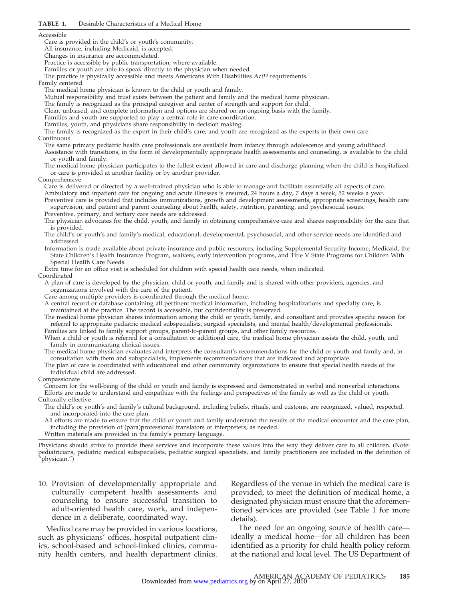#### Accessible

Care is provided in the child's or youth's community.

All insurance, including Medicaid, is accepted.

Changes in insurance are accommodated.

Practice is accessible by public transportation, where available.

Families or youth are able to speak directly to the physician when needed.

The practice is physically accessible and meets Americans With Disabilities Act<sup>10</sup> requirements.

Family centered

The medical home physician is known to the child or youth and family.

Mutual responsibility and trust exists between the patient and family and the medical home physician.

The family is recognized as the principal caregiver and center of strength and support for child.

Clear, unbiased, and complete information and options are shared on an ongoing basis with the family.

Families and youth are supported to play a central role in care coordination.

Families, youth, and physicians share responsibility in decision making.

The family is recognized as the expert in their child's care, and youth are recognized as the experts in their own care. Continuous

The same primary pediatric health care professionals are available from infancy through adolescence and young adulthood. Assistance with transitions, in the form of developmentally appropriate health assessments and counseling, is available to the child

or youth and family.

The medical home physician participates to the fullest extent allowed in care and discharge planning when the child is hospitalized or care is provided at another facility or by another provider.

Comprehensive

Care is delivered or directed by a well-trained physician who is able to manage and facilitate essentially all aspects of care. Ambulatory and inpatient care for ongoing and acute illnesses is ensured, 24 hours a day, 7 days a week, 52 weeks a year.

Preventive care is provided that includes immunizations, growth and development assessments, appropriate screenings, health care supervision, and patient and parent counseling about health, safety, nutrition, parenting, and psychosocial issues.

Preventive, primary, and tertiary care needs are addressed.

- The physician advocates for the child, youth, and family in obtaining comprehensive care and shares responsibility for the care that is provided.
- The child's or youth's and family's medical, educational, developmental, psychosocial, and other service needs are identified and addressed.
- Information is made available about private insurance and public resources, including Supplemental Security Income, Medicaid, the State Children's Health Insurance Program, waivers, early intervention programs, and Title V State Programs for Children With Special Health Care Needs.

Extra time for an office visit is scheduled for children with special health care needs, when indicated.

## Coordinated

A plan of care is developed by the physician, child or youth, and family and is shared with other providers, agencies, and organizations involved with the care of the patient.

Care among multiple providers is coordinated through the medical home.

A central record or database containing all pertinent medical information, including hospitalizations and specialty care, is maintained at the practice. The record is accessible, but confidentiality is preserved.

The medical home physician shares information among the child or youth, family, and consultant and provides specific reason for referral to appropriate pediatric medical subspecialists, surgical specialists, and mental health/developmental professionals. Families are linked to family support groups, parent-to-parent groups, and other family resources.

When a child or youth is referred for a consultation or additional care, the medical home physician assists the child, youth, and family in communicating clinical issues.

The medical home physician evaluates and interprets the consultant's recommendations for the child or youth and family and, in consultation with them and subspecialists, implements recommendations that are indicated and appropriate.

The plan of care is coordinated with educational and other community organizations to ensure that special health needs of the individual child are addressed.

Compassionate

Concern for the well-being of the child or youth and family is expressed and demonstrated in verbal and nonverbal interactions. Efforts are made to understand and empathize with the feelings and perspectives of the family as well as the child or youth. Culturally effective

The child's or youth's and family's cultural background, including beliefs, rituals, and customs, are recognized, valued, respected, and incorporated into the care plan.

All efforts are made to ensure that the child or youth and family understand the results of the medical encounter and the care plan, including the provision of (para)professional translators or interpreters, as needed. Written materials are provided in the family's primary language.

Physicians should strive to provide these services and incorporate these values into the way they deliver care to all children. (Note: pediatricians, pediatric medical subspecialists, pediatric surgical specialists, and family practitioners are included in the definition of "physician.")

10. Provision of developmentally appropriate and culturally competent health assessments and counseling to ensure successful transition to adult-oriented health care, work, and independence in a deliberate, coordinated way.

Medical care may be provided in various locations, such as physicians' offices, hospital outpatient clinics, school-based and school-linked clinics, community health centers, and health department clinics.

Regardless of the venue in which the medical care is provided, to meet the definition of medical home, a designated physician must ensure that the aforementioned services are provided (see Table 1 for more details).

The need for an ongoing source of health care ideally a medical home—for all children has been identified as a priority for child health policy reform at the national and local level. The US Department of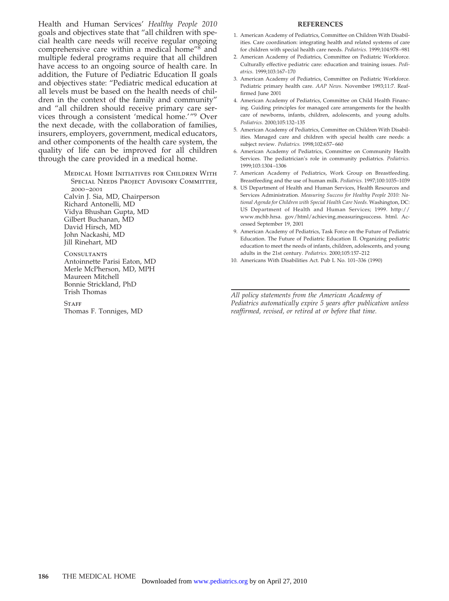Health and Human Services' *Healthy People 2010* goals and objectives state that "all children with special health care needs will receive regular ongoing comprehensive care within a medical home"8 and multiple federal programs require that all children have access to an ongoing source of health care. In addition, the Future of Pediatric Education II goals and objectives state: "Pediatric medical education at all levels must be based on the health needs of children in the context of the family and community" and "all children should receive primary care services through a consistent 'medical home.'"9 Over the next decade, with the collaboration of families, insurers, employers, government, medical educators, and other components of the health care system, the quality of life can be improved for all children through the care provided in a medical home.

> Medical Home Initiatives for Children With SPECIAL NEEDS PROJECT ADVISORY COMMITTEE, 2000–2001 Calvin J. Sia, MD, Chairperson Richard Antonelli, MD Vidya Bhushan Gupta, MD

Gilbert Buchanan, MD David Hirsch, MD John Nackashi, MD Jill Rinehart, MD

**CONSULTANTS** Antoinnette Parisi Eaton, MD Merle McPherson, MD, MPH Maureen Mitchell Bonnie Strickland, PhD Trish Thomas

**STAFF** Thomas F. Tonniges, MD

## **REFERENCES**

- 1. American Academy of Pediatrics, Committee on Children With Disabilities. Care coordination: integrating health and related systems of care for children with special health care needs. *Pediatrics.* 1999;104:978–981
- 2. American Academy of Pediatrics, Committee on Pediatric Workforce. Culturally effective pediatric care: education and training issues. *Pediatrics.* 1999;103:167–170
- 3. American Academy of Pediatrics, Committee on Pediatric Workforce. Pediatric primary health care. *AAP News.* November 1993;11:7. Reaffirmed June 2001
- 4. American Academy of Pediatrics, Committee on Child Health Financing. Guiding principles for managed care arrangements for the health care of newborns, infants, children, adolescents, and young adults. *Pediatrics.* 2000;105:132–135
- 5. American Academy of Pediatrics, Committee on Children With Disabilities. Managed care and children with special health care needs: a subject review. *Pediatrics.* 1998;102:657–660
- 6. American Academy of Pediatrics, Committee on Community Health Services. The pediatrician's role in community pediatrics. *Pediatrics.* 1999;103:1304–1306
- 7. American Academy of Pediatrics, Work Group on Breastfeeding. Breastfeeding and the use of human milk. *Pediatrics.* 1997;100:1035–1039
- 8. US Department of Health and Human Services, Health Resources and Services Administration. *Measuring Success for Healthy People 2010: National Agenda for Children with Special Health Care Needs.* Washington, DC: US Department of Health and Human Services; 1999. http:// www.mchb.hrsa. gov/html/achieving\_measuringsuccess. html. Accessed September 19, 2001
- 9. American Academy of Pediatrics, Task Force on the Future of Pediatric Education. The Future of Pediatric Education II. Organizing pediatric education to meet the needs of infants, children, adolescents, and young adults in the 21st century. *Pediatrics.* 2000;105:157–212
- 10. Americans With Disabilities Act. Pub L No. 101–336 (1990)

*All policy statements from the American Academy of Pediatrics automatically expire 5 years after publication unless reaffirmed, revised, or retired at or before that time.*